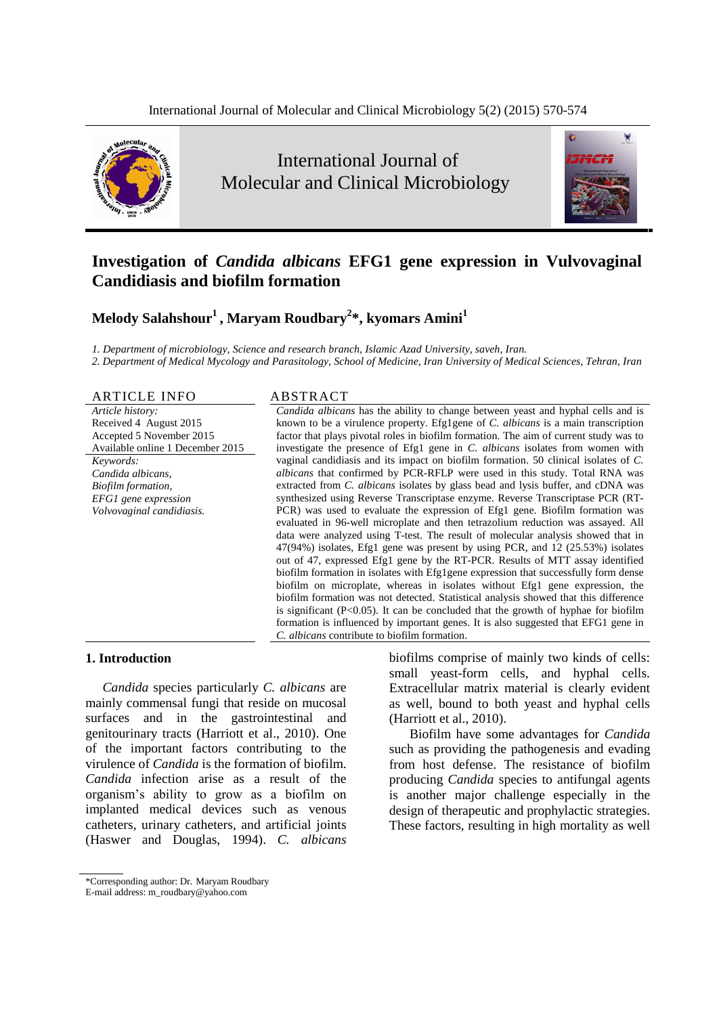

International Journal of Molecular and Clinical Microbiology



# **Investigation of** *Candida albicans* **EFG1 gene expression in Vulvovaginal Candidiasis and biofilm formation**

# **Melody Salahshour 1 , Maryam Roudbary <sup>2</sup>\*, kyomars Amini<sup>1</sup>**

*1. Department of microbiology, Science and research branch, Islamic Azad University, saveh, Iran.*

2. Department of Medical Mycology and Parasitology, School of Medicine, Iran University of Medical Sciences, Tehran, Iran

## ARTICLE INFO ABSTRACT

*Article history:* Received 4 August 2015 Accepted 5 November 2015 Available online 1 December 2015 *Keywords: Candida albicans,*

*Biofilm formation, EFG1 gene expression Volvovaginal candidiasis.*

*Candida albicans* has the ability to change between yeast and hyphal cells and is known to be a virulence property. Efg1gene of *C. albicans* is a main transcription factor that plays pivotal roles in biofilm formation. The aim of current study was to investigate the presence of Efg1 gene in *C. albicans* isolates from women with vaginal candidiasis and its impact on biofilm formation. 50 clinical isolates of *C. albicans* that confirmed by PCR-RFLP were used in this study. Total RNA was extracted from *C. albicans* isolates by glass bead and lysis buffer, and cDNA was synthesized using Reverse Transcriptase enzyme. Reverse Transcriptase PCR (RT- PCR) was used to evaluate the expression of Efg1 gene. Biofilm formation was evaluated in 96-well microplate and then tetrazolium reduction was assayed. All data were analyzed using T-test. The result of molecular analysis showed that in 47(94%) isolates, Efg1 gene was present by using PCR, and 12 (25.53%) isolates out of 47, expressed Efg1 gene by the RT-PCR. Results of MTT assay identified biofilm formation in isolates with Efg1gene expression that successfully form densebiofilm on microplate, whereas in isolates without Efg1 gene expression, the biofilm formation was not detected. Statistical analysis showed that this difference is significant ( $P<0.05$ ). It can be concluded that the growth of hyphae for biofilm formation is influenced by important genes. It is also suggested that EFG1 gene in *C. albicans* contribute to biofilm formation.

# **1. Introduction**

*Candida* species particularly *C. albicans* are mainly commensal fungi that reside on mucosal surfaces and in the gastrointestinal and genitourinary tracts (Harriott et al., 2010). One of the important factors contributing to the virulence of *Candida* is the formation of biofilm. *Candida* infection arise as a result of the virulence of *Candida* is the formation of biofilm.<br> *Candida* infection arise as a result of the prorganism's ability to grow as a biofilm on is implanted medical devices such as venous catheters, urinary catheters, and artificial joints (Haswer and Douglas, 1994). *C. albicans*

biofilms comprise of mainly two kinds of cells: small yeast-form cells, and hyphal cells. Extracellular matrix material is clearly evident as well, bound to both yeast and hyphal cells (Harriott et al., 2010).

Biofilm have some advantages for *Candida* such as providing the pathogenesis and evading from host defense. The resistance of biofilm producing *Candida* species to antifungal agents is another major challenge especially in the design of therapeutic and prophylactic strategies. These factors, resulting in high mortality as well

<sup>\*</sup>Corresponding author: Dr. Maryam Roudbary

E-mail address: [m\\_roudbary@yahoo.com](mailto:m_roudbary@yahoo.com)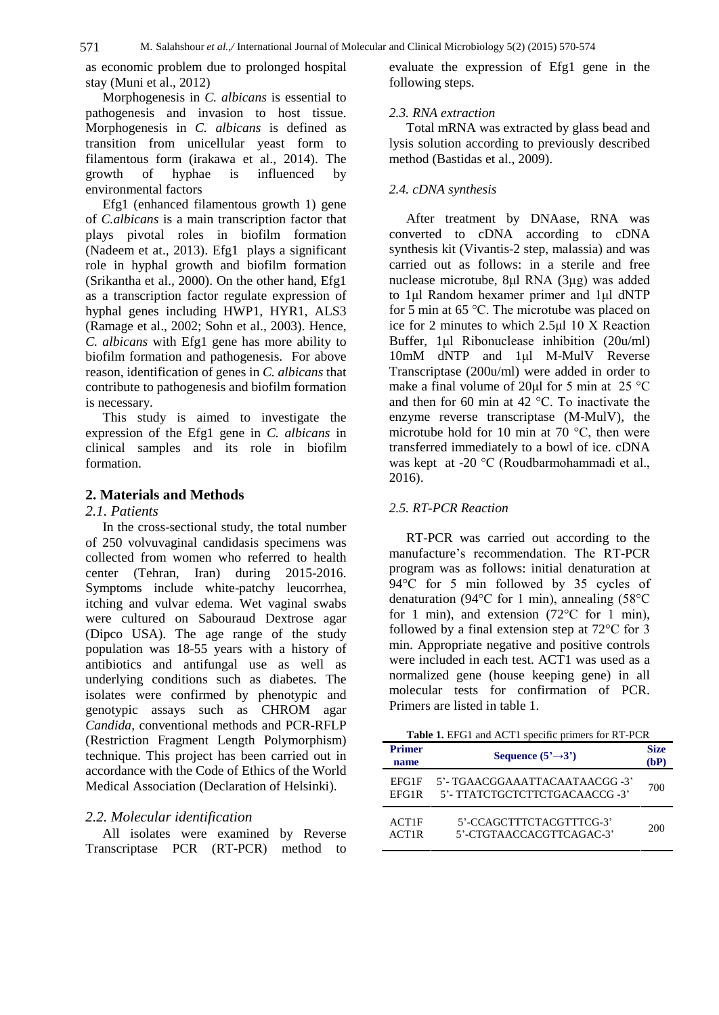as economic problem due to prolonged hospital stay (Muni et al., 2012)

Morphogenesis in *C. albicans* is essential to pathogenesis and invasion to host tissue. Morphogenesis in *C. albicans* is defined as transition from unicellular yeast form to filamentous form (irakawa et al., 2014). The growth of hyphae is influenced by environmental factors

Efg1 (enhanced filamentous growth 1) gene of *C.albicans* is a main transcription factor that plays pivotal roles in biofilm formation (Nadeem et at., 2013). Efg1 plays a significant role in hyphal growth and biofilm formation (Srikantha et al., 2000). On the other hand, Efg1 muclease microtube, 8 $\mu$ l RNA (3 $\mu$ g) was added as a transcription factor regulate expression of to 1 $\mu$ l Random hexamer primer and 1 $\mu$ l dNTP as a transcription factor regulate expression of hyphal genes including HWP1, HYR1, ALS3 for 5 min at 65 °C. The microtube was placed on (Ramage et al., 2002; Sohn et al., 2003). Hence, *C. albicans* with Efg1 gene has more ability to Buffer, 1µl Ribonuclease inhibition (20u/ml) biofilm formation and pathogenesis. For above 10mM dNTP and 1µl M-MulV Reverse reason, identification of genes in *C. albicans* that contribute to pathogenesis and biofilm formation make a final volume of 20 $\mu$ l for 5 min at 25 °C is necessary.<br>
and then for 60 min at 42 °C. To inactivate the is necessary.

This study is aimed to investigate the expression of the Efg1 gene in *C. albicans* in clinical samples and its role in biofilm transferred immediately to a bowl of ice. cDNA formation.<br>
was kept at -20  $^{\circ}$ C (Roudbarmohammadi et al., formation.

# **2. Materials and Methods**

#### *2.1. Patients*

In the cross-sectional study, the total number of 250 volvuvaginal candidasis specimens was collected from women who referred to health center (Tehran, Iran) during 2015-2016. Symptoms include white-patchy leucorrhea, itching and vulvar edema. Wet vaginal swabs were cultured on Sabouraud Dextrose agar (Dipco USA). The age range of the study followed by a final extension step at  $72^{\circ}$ C for 3 population was 18-55 years with a history of antibiotics and antifungal use as well as underlying conditions such as diabetes. The isolates were confirmed by phenotypic and genotypic assays such as CHROM agar *Candida*, conventional methods and PCR-RFLP (Restriction Fragment Length Polymorphism) technique. This project has been carried out in accordance with the Code of Ethics of the World Medical Association (Declaration of Helsinki).

# *2.2. Molecular identification*

All isolates were examined by Reverse Transcriptase PCR (RT-PCR) method to evaluate the expression of Efg1 gene in the following steps.

#### *2.3. RNA extraction*

Total mRNA was extracted by glass bead and lysis solution according to previously described method (Bastidas et al., 2009).

## *2.4. cDNA synthesis*

After treatment by DNAase, RNA was converted to cDNA according to cDNA synthesis kit (Vivantis-2 step, malassia) and was<br>carried out as follows: in a sterile and free<br>nuclease microtube, 8µl RNA (3µg) was added carried out as follows: in a sterile and free earried out as follows: in a sterile and free<br>nuclease microtube, 8µl RNA (3µg) was added<br>to 1µl Random hexamer primer and 1µl dNTP nuclease microtube, 8µl RNA (3µg) was added<br>to 1µl Random hexamer primer and 1µl dNTP<br>for 5 min at 65 °C. The microtube was placed on to 1µl Random hexamer primer and 1µl dNTP for 5 min at 65 °C. The microtube was placed on ice for 2 minutes to which  $2.5\mu$ l 10 X Reaction for 5 min at 65 °C. The microtube was placed on<br>ice for 2 minutes to which 2.5 $\mu$ l 10 X Reaction<br>Buffer, 1 $\mu$ l Ribonuclease inhibition (20u/ml) ice for 2 minutes to which  $2.5\mu$ l 10 X Reaction<br>Buffer, 1 $\mu$ l Ribonuclease inhibition (20 $\mu$ /ml)<br>10mM dNTP and 1 $\mu$ l M-MulV Reverse Transcriptase (200u/ml) were added in order to 10mM dNTP and 1µl M-MulV Reverse<br>Transcriptase (200u/ml) were added in order to<br>make a final volume of 20µl for 5 min at 25 °C Transcriptase (200u/ml) were added in order to<br>make a final volume of 20µl for 5 min at 25 °C<br>and then for 60 min at 42 °C. To inactivate the enzyme reverse transcriptase (M-MulV), the and then for 60 min at 42 °C. To inactivate the<br>enzyme reverse transcriptase (M-MulV), the<br>microtube hold for 10 min at 70 °C, then were transferred immediately to a bowl of ice. cDNA microtube hold for 10 min at 70  $\degree$ C, then were 2016).

# *2.5. RT-PCR Reaction*

RT-PCR was carried out according to the manufacture's recommendation. The RT-PCR program was as follows: initial denaturation at manufacture's recommendation. The RT-PCR<br>program was as follows: initial denaturation at<br>94°C for 5 min followed by 35 cycles of program was as follows: initial denaturation at<br>94°C for 5 min followed by 35 cycles of<br>denaturation (94°C for 1 min), annealing (58°C 94°C for 5 min followed by 35 cycles of denaturation (94°C for 1 min), annealing (58°C for 1 min), and extension (72°C for 1 min), denaturation (94°C for 1 min), annealing (58°C for 1 min), and extension (72°C for 1 min), min. Appropriate negative and positive controls were included in each test. ACT1 was used as a normalized gene (house keeping gene) in all molecular tests for confirmation of PCR. Primers are listed in table 1.

| <b>Table 1.</b> EFG1 and ACT1 specific primers for RT-PCR |                                                                  |                    |
|-----------------------------------------------------------|------------------------------------------------------------------|--------------------|
| <b>Primer</b><br>name                                     | Sequence $(5^3 \rightarrow 3^3)$                                 | <b>Size</b><br>(bP |
| EFG1F<br>EFG1R                                            | 5'- TGAACGGAAATTACAATAACGG -3'<br>5'- TTATCTGCTCTTCTGACAACCG -3' | 700                |
| ACT1F<br>ACT1R                                            | 5'-CCAGCTTTCTACGTTTCG-3'<br>5'-CTGTAACCACGTTCAGAC-3'             | 200                |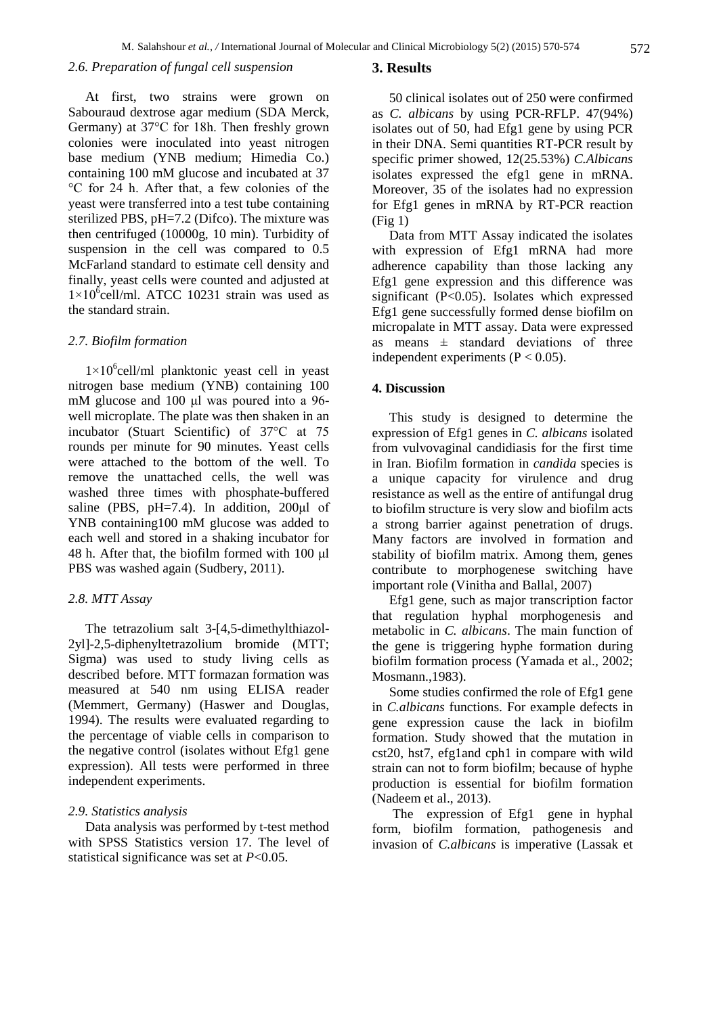## *2.6. Preparation of fungal cell suspension*

#### **3. Results**

At first, two strains were grown on Sabouraud dextrose agar medium (SDA Merck, Germany) at <sup>37</sup>°C for 18h. Then freshly grown colonies were inoculated into yeast nitrogen base medium (YNB medium; Himedia Co.)<br>containing 100 mM glucose and incubated at 37<br>°C for 24 h. After that, a few colonies of the containing 100 mM glucose and incubated at 37 yeast were transferred into a test tube containing sterilized PBS, pH=7.2 (Difco). The mixture was then centrifuged (10000g, 10 min). Turbidity of suspension in the cell was compared to 0.5 McFarland standard to estimate cell density and<br>
finally, yeast cells were counted and adjusted at E<br>  $1\times10^{6}$ cell/ml. ATCC 10231 strain was used as finally, yeast cells were counted and adjusted at  $1\times10^6$ cell/ml. ATCC 10231 strain was used as the standard strain.

#### *2.7. Biofilm formation*

2.7. *Biofilm formation*<br> $1\times10^{6}$ cell/ml planktonic yeast cell in yeast<br>nitrogen base medium (YNB) containing 100<br>mM glucose and 100  $\mu$ l was poured into a 96nitrogen base medium (YNB) containing 100 well microplate. The plate was then shaken in an mM glucose and 100 µl was poured into a 96-<br>well microplate. The plate was then shaken in an<br>incubator (Stuart Scientific) of 37°C at 75 rounds per minute for 90 minutes. Yeast cells were attached to the bottom of the well. To remove the unattached cells, the well was washed three times with phosphate-buffered saline (PBS,  $pH=7.4$ ). In addition,  $200\mu l$  of YNB containing100 mM glucose was added to each well and stored in a shaking incubator for 48 h. After that, the biofilm formed with 100  $\mu$ l PBS was washed again (Sudbery, 2011).

#### *2.8. MTT Assay*

The tetrazolium salt 3-[4,5-dimethylthiazol- 2yl]-2,5-diphenyltetrazolium bromide (MTT; Sigma) was used to study living cells as described before. MTT formazan formation was measured at 540 nm using ELISA reader (Memmert, Germany) (Haswer and Douglas, 1994). The results were evaluated regarding to the percentage of viable cells in comparison to the negative control (isolates without Efg1 gene expression). All tests were performed in three independent experiments.

#### *2.9. Statistics analysis*

Data analysis was performed by t-test method with SPSS Statistics version 17. The level of statistical significance was set at *P*<0.05.

50 clinical isolates out of 250 were confirmed as *C. albicans* by using PCR-RFLP. 47(94%) isolates out of 50, had Efg1 gene by using PCR in their DNA. Semi quantities RT-PCR result by specific primer showed, 12(25.53%) *C.Albicans* isolates expressed the efg1 gene in mRNA. Moreover, 35 of the isolates had no expression for Efg1 genes in mRNA by RT-PCR reaction  $(Fi\varrho 1)$ 

Data from MTT Assay indicated the isolates with expression of Efg1 mRNA had more adherence capability than those lacking any Efg1 gene expression and this difference was significant (P<0.05). Isolates which expressed Efg1 gene successfully formed dense biofilm on micropalate in MTT assay. Data were expressed Efg1 gene successfully formed dense biofilm on<br>micropalate in MTT assay. Data were expressed<br>as means  $\pm$  standard deviations of three independent experiments  $(P < 0.05)$ .

#### **4. Discussion**

This study is designed to determine the expression of Efg1 genes in *C. albicans* isolated from vulvovaginal candidiasis for the first time in Iran. Biofilm formation in *candida* species is a unique capacity for virulence and drug resistance as well as the entire of antifungal drug to biofilm structure is very slow and biofilm acts a strong barrier against penetration of drugs. Many factors are involved in formation and stability of biofilm matrix. Among them, genes contribute to morphogenese switching have important role (Vinitha and Ballal, 2007)

Efg1 gene, such as major transcription factor that regulation hyphal morphogenesis and metabolic in *C. albicans*. The main function of the gene is triggering hyphe formation during biofilm formation process (Yamada et al., 2002; Mosmann.,1983).

Some studies confirmed the role of Efg1 gene in *C.albicans* functions. For example defects in gene expression cause the lack in biofilm formation. Study showed that the mutation in cst20, hst7, efg1and cph1 in compare with wild strain can not to form biofilm; because of hyphe production is essential for biofilm formation (Nadeem et al., 2013).

The expression of Efg1 gene in hyphal form, biofilm formation, pathogenesis and invasion of*C.albicans* is imperative (Lassak et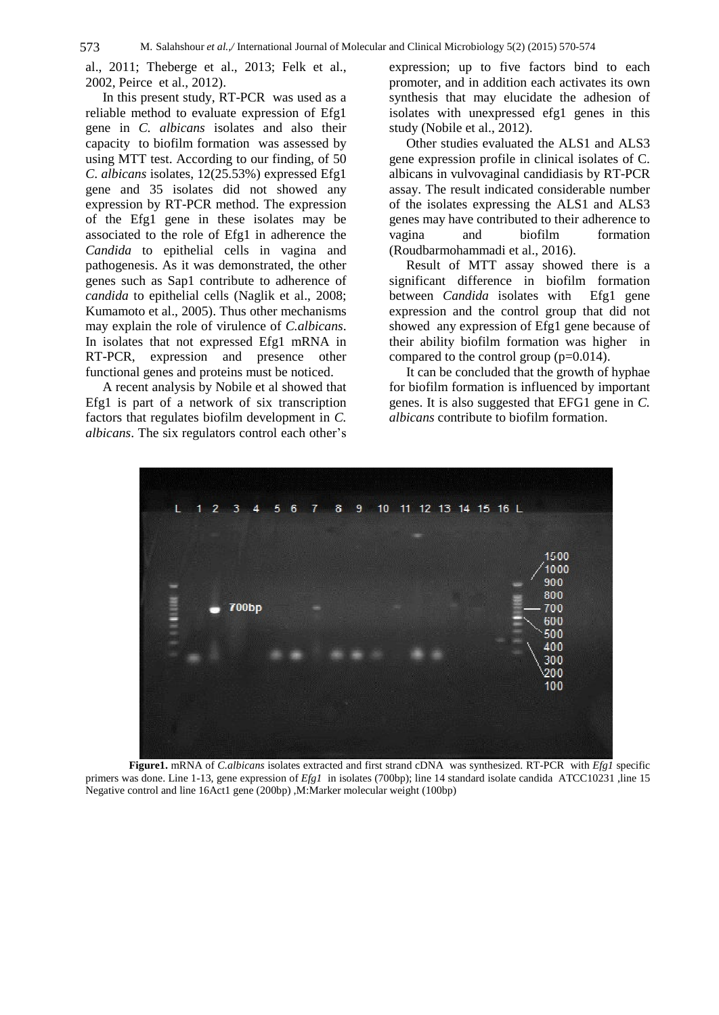al., 2011; Theberge et al., 2013; Felk et al., 2002, Peirce etal., 2012).

In this present study, RT-PCR was used as a reliable method to evaluate expression of Efg1 gene in *C. albicans* isolates and also their capacity to biofilm formation was assessed by using MTT test. According to our finding, of 50 *C*. *albicans* isolates, 12(25.53%) expressed Efg1 gene and 35 isolates did not showed any expression by RT-PCR method. The expression of the Efg1 gene in these isolates may be associated to the role of Efg1 in adherence the *Candida* to epithelial cells in vagina and pathogenesis. As it was demonstrated, the other genes such as Sap1 contribute to adherence of *candida* to epithelial cells (Naglik et al., 2008; Kumamoto et al., 2005). Thus other mechanisms may explain the role of virulence of *C.albicans*. In isolates that not expressed Efg1 mRNA in RT-PCR, expression and presence other functional genes and proteins must be noticed.

A recent analysis by Nobile et al showed that Efg1 is part of a network of six transcription factors that regulates biofilm development in *C.* Efg1 is part of a network of six transcription<br>factors that regulates biofilm development in *C*.<br>*albicans*. The six regulators control each other's

expression; up to five factors bind to each promoter, and in addition each activates its own synthesis that may elucidate the adhesion of isolates with unexpressed efg1 genes in this study (Nobile et al., 2012).

Other studies evaluated the ALS1 and ALS3 gene expression profile in clinical isolates of C. albicans in vulvovaginal candidiasis by RT-PCR assay. The result indicated considerable number of the isolates expressing the ALS1 and ALS3 genes may have contributed to their adherence to and biofilm formation (Roudbarmohammadi et al., 2016).

Result of MTT assay showed there is a significant difference in biofilm formation between *Candida* isolates with Efg1 gene expression and the control group that did not showed any expression of Efg1 gene because of their ability biofilm formation was higher in compared to the control group (p=0.014).

It can be concluded that the growth of hyphae for biofilm formation is influenced by important genes. It is also suggested that EFG1 gene in *C. albicans* contribute to biofilm formation.



**Figure1.** mRNA of *C.albicans* isolates extracted and first strand cDNA was synthesized. RT-PCR with *Efg1* specific primers was done. Line 1-13, gene expression of *Efg1* in isolates (700bp); line 14 standard isolate candida ATCC10231 ,line 15 Negative control and line 16Act1 gene (200bp) ,M:Marker molecular weight (100bp)